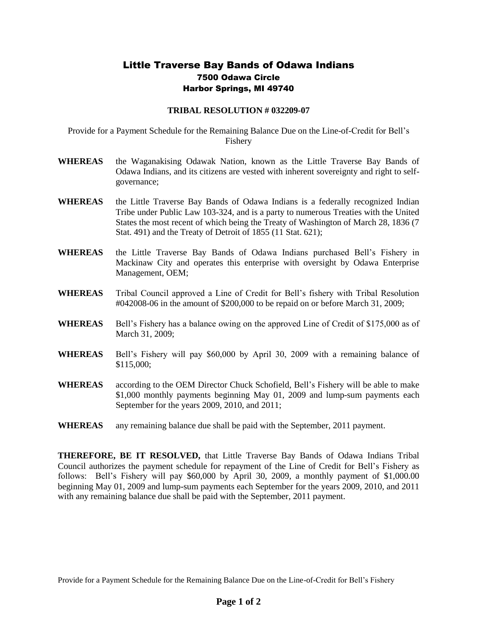## Little Traverse Bay Bands of Odawa Indians 7500 Odawa Circle Harbor Springs, MI 49740

## **TRIBAL RESOLUTION # 032209-07**

Provide for a Payment Schedule for the Remaining Balance Due on the Line-of-Credit for Bell's Fishery

- **WHEREAS** the Waganakising Odawak Nation, known as the Little Traverse Bay Bands of Odawa Indians, and its citizens are vested with inherent sovereignty and right to selfgovernance;
- **WHEREAS** the Little Traverse Bay Bands of Odawa Indians is a federally recognized Indian Tribe under Public Law 103-324, and is a party to numerous Treaties with the United States the most recent of which being the Treaty of Washington of March 28, 1836 (7 Stat. 491) and the Treaty of Detroit of 1855 (11 Stat. 621);
- **WHEREAS** the Little Traverse Bay Bands of Odawa Indians purchased Bell's Fishery in Mackinaw City and operates this enterprise with oversight by Odawa Enterprise Management, OEM;
- **WHEREAS** Tribal Council approved a Line of Credit for Bell's fishery with Tribal Resolution #042008-06 in the amount of \$200,000 to be repaid on or before March 31, 2009;
- **WHEREAS** Bell's Fishery has a balance owing on the approved Line of Credit of \$175,000 as of March 31, 2009;
- **WHEREAS** Bell's Fishery will pay \$60,000 by April 30, 2009 with a remaining balance of \$115,000;
- **WHEREAS** according to the OEM Director Chuck Schofield, Bell's Fishery will be able to make \$1,000 monthly payments beginning May 01, 2009 and lump-sum payments each September for the years 2009, 2010, and 2011;
- **WHEREAS** any remaining balance due shall be paid with the September, 2011 payment.

**THEREFORE, BE IT RESOLVED,** that Little Traverse Bay Bands of Odawa Indians Tribal Council authorizes the payment schedule for repayment of the Line of Credit for Bell's Fishery as follows: Bell's Fishery will pay \$60,000 by April 30, 2009, a monthly payment of \$1,000.00 beginning May 01, 2009 and lump-sum payments each September for the years 2009, 2010, and 2011 with any remaining balance due shall be paid with the September, 2011 payment.

Provide for a Payment Schedule for the Remaining Balance Due on the Line-of-Credit for Bell's Fishery